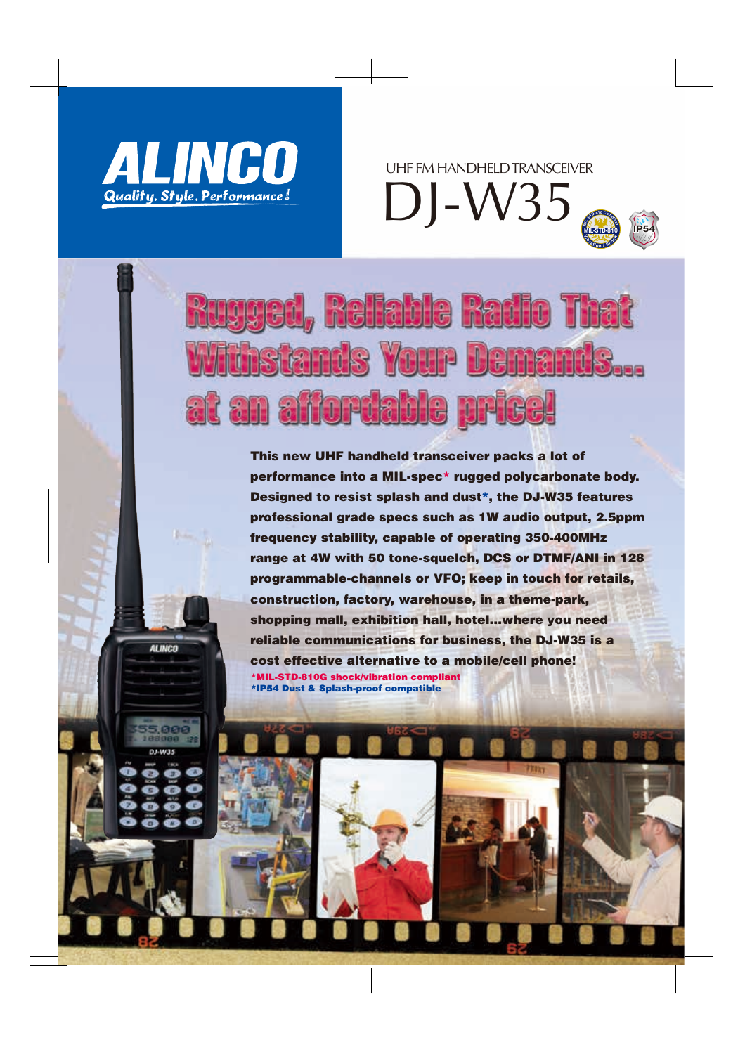

**ALINCO** 

UHF FM HANDHELD TRANSCEIVER

DJ-W35



# **Reliable Radio Tha YOUP**  $\mathbf{S}$ at an aifordable

This new UHF handheld transceiver packs a lot of performance into a MIL-spec\* rugged polycarbonate body. Designed to resist splash and dust\*, the DJ-W35 features professional grade specs such as 1W audio output, 2.5ppm frequency stability, capable of operating 350-400MHz range at 4W with 50 tone-squelch, DCS or DTMF/ANI in 128 programmable-channels or VFO; keep in touch for retails, construction, factory, warehouse, in a theme-park, shopping mall, exhibition hall, hotel…where you need reliable communications for business, the DJ-W35 is a cost effective alternative to a mobile/cell phone! \*MIL-STD-810G shock/vibration compliant \*IP54 Dust & Splash-proof compatible